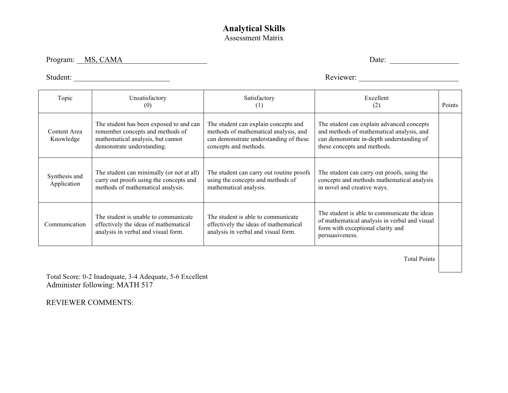## **Analytical Skills**  Assessment Matrix

Program: <u>MS, CAMA</u> Date: 2008. Date: 2008. Date: 2008. Date: 2008. Date: 2008. Date: 2008. Date: 2008. Date: 2008. Date: 2008. Date: 2008. Date: 2008. 2018. 2018. Date: 2008. 2018. 2018. 2018. 2018. 2018. 2018. 2018. 2018

Student: \_\_\_\_\_\_\_\_\_\_\_\_\_\_\_\_\_\_\_\_\_\_\_\_\_ Reviewer: \_\_\_\_\_\_\_\_\_\_\_\_\_\_\_\_\_\_\_\_\_\_\_\_\_\_

| Topic                        | Unsatisfactory<br>(0)                                                                                                                          | Satisfactory<br>(1)                                                                                                                              | Excellent<br>(2)                                                                                                                                                   | Points |
|------------------------------|------------------------------------------------------------------------------------------------------------------------------------------------|--------------------------------------------------------------------------------------------------------------------------------------------------|--------------------------------------------------------------------------------------------------------------------------------------------------------------------|--------|
| Content Area<br>Knowledge    | The student has been exposed to and can<br>remember concepts and methods of<br>mathematical analysis, but cannot<br>demonstrate understanding. | The student can explain concepts and<br>methods of mathematical analysis, and<br>can demonstrate understanding of these<br>concepts and methods. | The student can explain advanced concepts<br>and methods of mathematical analysis, and<br>can demonstrate in-depth understanding of<br>these concepts and methods. |        |
| Synthesis and<br>Application | The student can minimally (or not at all)<br>carry out proofs using the concepts and<br>methods of mathematical analysis.                      | The student can carry out routine proofs<br>using the concepts and methods of<br>mathematical analysis.                                          | The student can carry out proofs, using the<br>concepts and methods mathematical analysis<br>in novel and creative ways.                                           |        |
| Communication                | The student is unable to communicate<br>effectively the ideas of mathematical<br>analysis in verbal and visual form.                           | The student is able to communicate<br>effectively the ideas of mathematical<br>analysis in verbal and visual form.                               | The student is able to communicate the ideas<br>of mathematical analysis in verbal and visual<br>form with exceptional clarity and<br>persuasiveness.              |        |
|                              |                                                                                                                                                |                                                                                                                                                  |                                                                                                                                                                    |        |

Total Points

Total Score: 0-2 Inadequate, 3-4 Adequate, 5-6 Excellent Administer following: MATH 517

REVIEWER COMMENTS: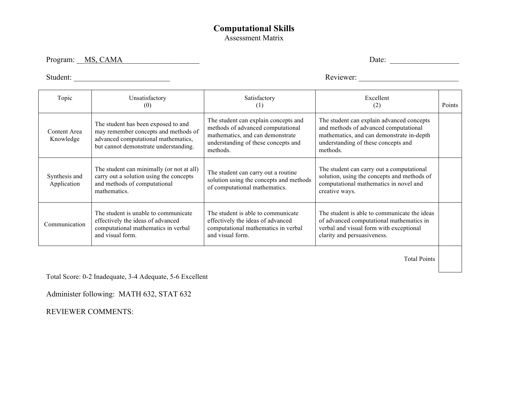## **Computational Skills**  Assessment Matrix

Program: <u>MS, CAMA</u> Date:

Student: \_\_\_\_\_\_\_\_\_\_\_\_\_\_\_\_\_\_\_\_\_\_\_\_\_ Reviewer: \_\_\_\_\_\_\_\_\_\_\_\_\_\_\_\_\_\_\_\_\_\_\_\_\_\_

| Topic                        | Unsatisfactory<br>(0)                                                                                                                                       | Satisfactory<br>(1)                                                                                                                                              | Excellent<br>(2)                                                                                                                                                                   | Points |
|------------------------------|-------------------------------------------------------------------------------------------------------------------------------------------------------------|------------------------------------------------------------------------------------------------------------------------------------------------------------------|------------------------------------------------------------------------------------------------------------------------------------------------------------------------------------|--------|
| Content Area<br>Knowledge    | The student has been exposed to and<br>may remember concepts and methods of<br>advanced computational mathematics,<br>but cannot demonstrate understanding. | The student can explain concepts and<br>methods of advanced computational<br>mathematics, and can demonstrate<br>understanding of these concepts and<br>methods. | The student can explain advanced concepts<br>and methods of advanced computational<br>mathematics, and can demonstrate in-depth<br>understanding of these concepts and<br>methods. |        |
| Synthesis and<br>Application | The student can minimally (or not at all)<br>carry out a solution using the concepts<br>and methods of computational<br>mathematics.                        | The student can carry out a routine<br>solution using the concepts and methods<br>of computational mathematics.                                                  | The student can carry out a computational<br>solution, using the concepts and methods of<br>computational mathematics in novel and<br>creative ways.                               |        |
| Communication                | The student is unable to communicate<br>effectively the ideas of advanced<br>computational mathematics in verbal<br>and visual form.                        | The student is able to communicate<br>effectively the ideas of advanced<br>computational mathematics in verbal<br>and visual form.                               | The student is able to communicate the ideas<br>of advanced computational mathematics in<br>verbal and visual form with exceptional<br>clarity and persuasiveness.                 |        |
|                              |                                                                                                                                                             |                                                                                                                                                                  |                                                                                                                                                                                    |        |

Total Points

Total Score: 0-2 Inadequate, 3-4 Adequate, 5-6 Excellent

Administer following: MATH 632, STAT 632

REVIEWER COMMENTS: